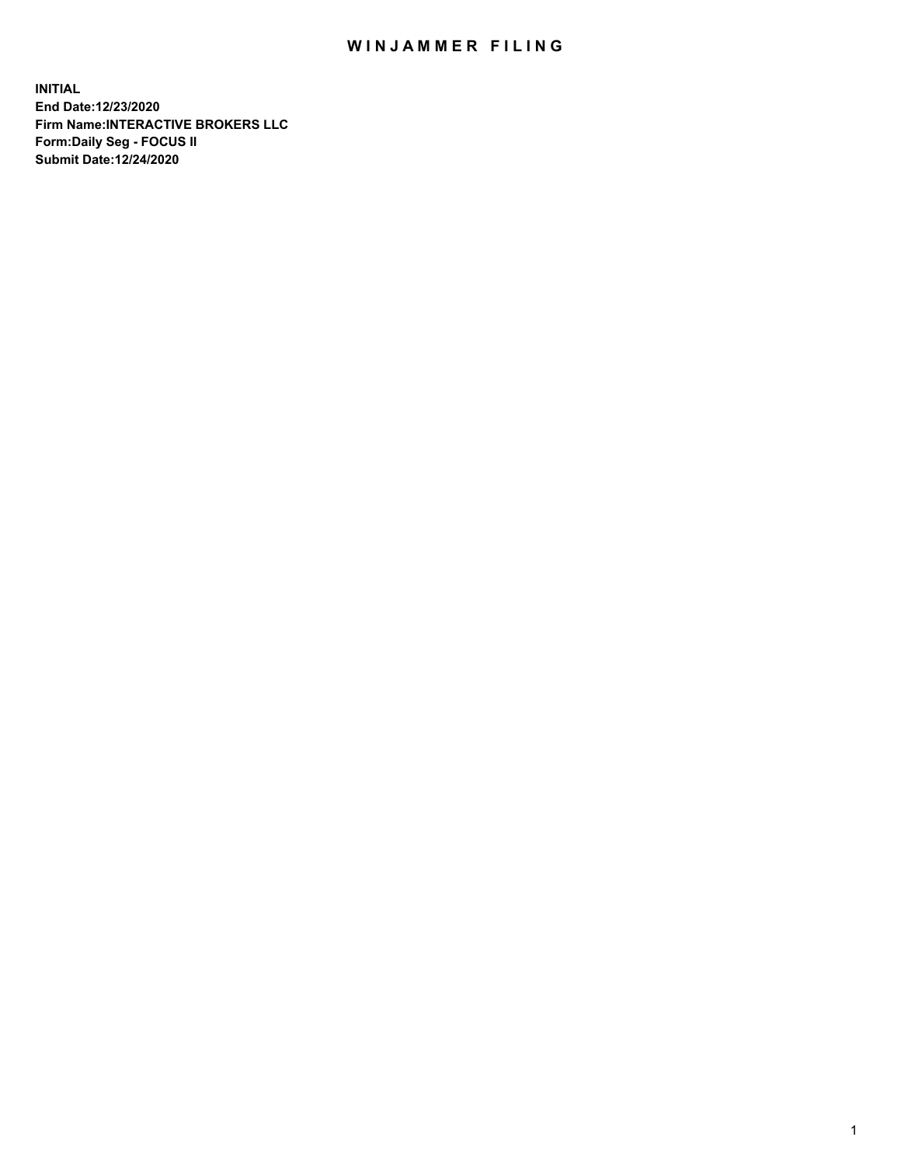## WIN JAMMER FILING

**INITIAL End Date:12/23/2020 Firm Name:INTERACTIVE BROKERS LLC Form:Daily Seg - FOCUS II Submit Date:12/24/2020**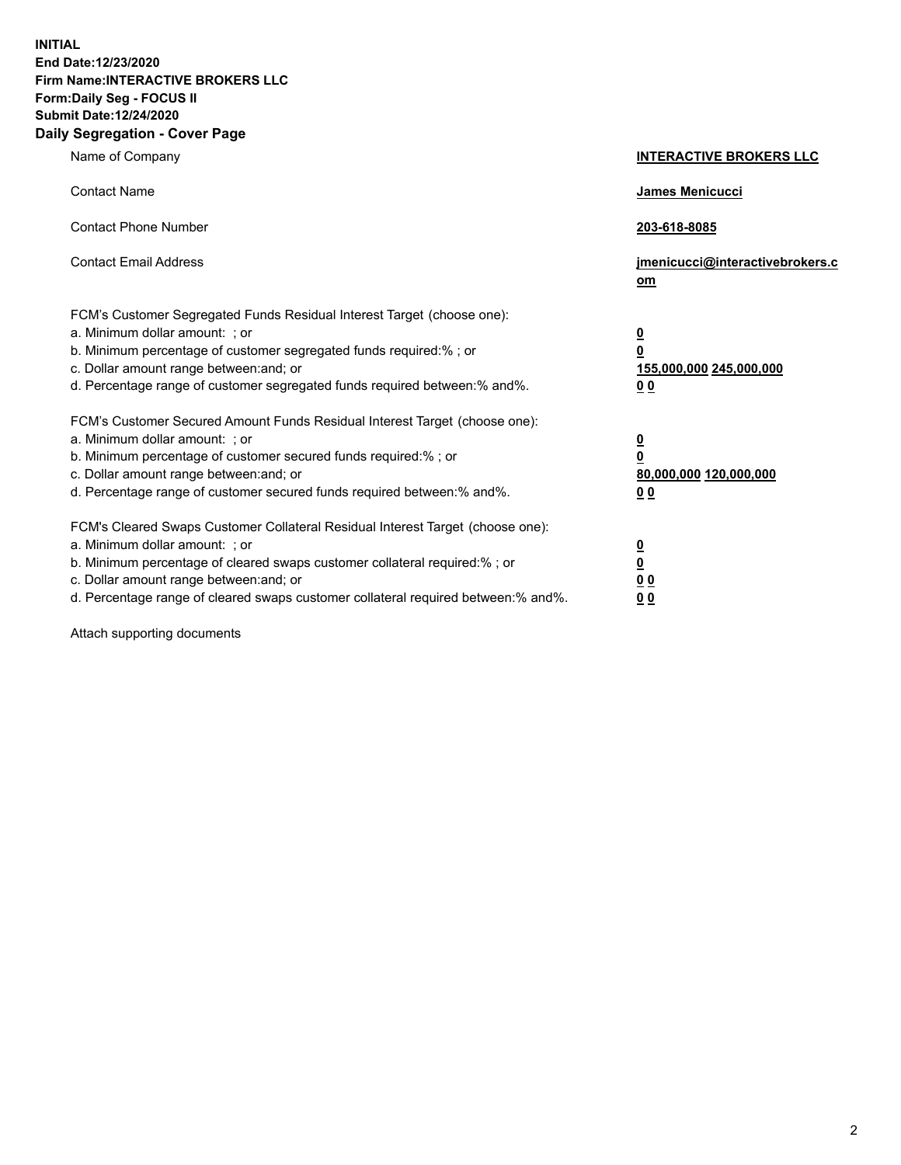**INITIAL End Date:12/23/2020 Firm Name:INTERACTIVE BROKERS LLC Form:Daily Seg - FOCUS II Submit Date:12/24/2020 Daily Segregation - Cover Page**

| Name of Company                                                                                                                                                                                                                                                                                                                | <b>INTERACTIVE BROKERS LLC</b>                                                  |  |
|--------------------------------------------------------------------------------------------------------------------------------------------------------------------------------------------------------------------------------------------------------------------------------------------------------------------------------|---------------------------------------------------------------------------------|--|
| <b>Contact Name</b>                                                                                                                                                                                                                                                                                                            | James Menicucci                                                                 |  |
| <b>Contact Phone Number</b>                                                                                                                                                                                                                                                                                                    | 203-618-8085                                                                    |  |
| <b>Contact Email Address</b>                                                                                                                                                                                                                                                                                                   | jmenicucci@interactivebrokers.c<br>om                                           |  |
| FCM's Customer Segregated Funds Residual Interest Target (choose one):<br>a. Minimum dollar amount: ; or<br>b. Minimum percentage of customer segregated funds required:%; or<br>c. Dollar amount range between: and; or<br>d. Percentage range of customer segregated funds required between:% and%.                          | <u>0</u><br>$\overline{\mathbf{0}}$<br>155,000,000 245,000,000<br><u>00</u>     |  |
| FCM's Customer Secured Amount Funds Residual Interest Target (choose one):<br>a. Minimum dollar amount: ; or<br>b. Minimum percentage of customer secured funds required:% ; or<br>c. Dollar amount range between: and; or<br>d. Percentage range of customer secured funds required between:% and%.                           | <u>0</u><br>$\overline{\mathbf{0}}$<br>80,000,000 120,000,000<br>0 <sub>0</sub> |  |
| FCM's Cleared Swaps Customer Collateral Residual Interest Target (choose one):<br>a. Minimum dollar amount: ; or<br>b. Minimum percentage of cleared swaps customer collateral required:% ; or<br>c. Dollar amount range between: and; or<br>d. Percentage range of cleared swaps customer collateral required between:% and%. | <u>0</u><br>$\underline{\mathbf{0}}$<br>0 <sub>0</sub><br>0 <sub>0</sub>        |  |

Attach supporting documents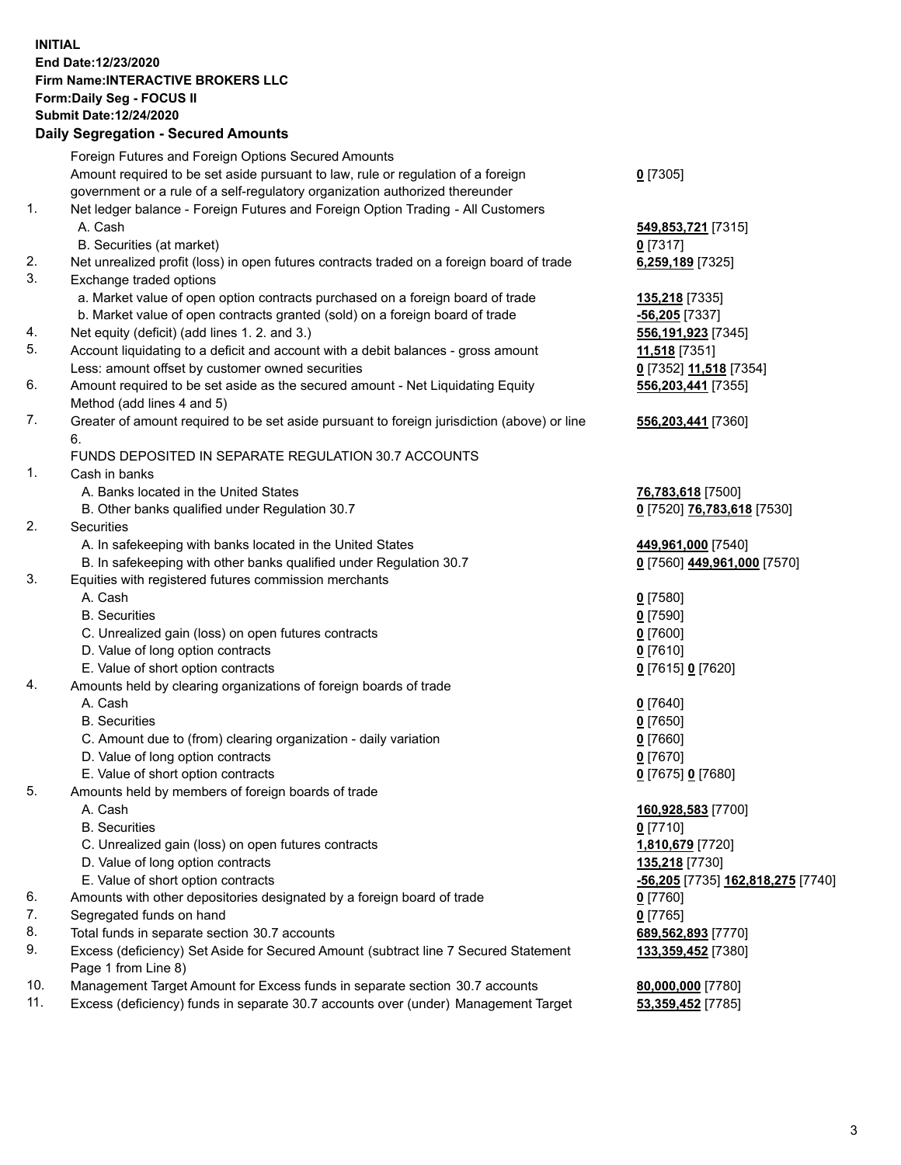**INITIAL End Date:12/23/2020 Firm Name:INTERACTIVE BROKERS LLC Form:Daily Seg - FOCUS II Submit Date:12/24/2020 Daily Segregation - Secured Amounts**

## Foreign Futures and Foreign Options Secured Amounts Amount required to be set aside pursuant to law, rule or regulation of a foreign government or a rule of a self-regulatory organization authorized thereunder **0** [7305] 1. Net ledger balance - Foreign Futures and Foreign Option Trading - All Customers A. Cash **549,853,721** [7315] B. Securities (at market) **0** [7317] 2. Net unrealized profit (loss) in open futures contracts traded on a foreign board of trade **6,259,189** [7325] 3. Exchange traded options a. Market value of open option contracts purchased on a foreign board of trade **135,218** [7335] b. Market value of open contracts granted (sold) on a foreign board of trade **-56,205** [7337] 4. Net equity (deficit) (add lines 1. 2. and 3.) **556,191,923** [7345] 5. Account liquidating to a deficit and account with a debit balances - gross amount **11,518** [7351] Less: amount offset by customer owned securities **0** [7352] **11,518** [7354] 6. Amount required to be set aside as the secured amount - Net Liquidating Equity Method (add lines 4 and 5) **556,203,441** [7355] 7. Greater of amount required to be set aside pursuant to foreign jurisdiction (above) or line 6. **556,203,441** [7360] FUNDS DEPOSITED IN SEPARATE REGULATION 30.7 ACCOUNTS 1. Cash in banks A. Banks located in the United States **76,783,618** [7500] B. Other banks qualified under Regulation 30.7 **0** [7520] **76,783,618** [7530] 2. Securities A. In safekeeping with banks located in the United States **449,961,000** [7540] B. In safekeeping with other banks qualified under Regulation 30.7 **0** [7560] **449,961,000** [7570] 3. Equities with registered futures commission merchants A. Cash **0** [7580] B. Securities **0** [7590] C. Unrealized gain (loss) on open futures contracts **0** [7600] D. Value of long option contracts **0** [7610] E. Value of short option contracts **0** [7615] **0** [7620] 4. Amounts held by clearing organizations of foreign boards of trade A. Cash **0** [7640] B. Securities **0** [7650] C. Amount due to (from) clearing organization - daily variation **0** [7660] D. Value of long option contracts **0** [7670] E. Value of short option contracts **0** [7675] **0** [7680] 5. Amounts held by members of foreign boards of trade A. Cash **160,928,583** [7700] B. Securities **0** [7710] C. Unrealized gain (loss) on open futures contracts **1,810,679** [7720] D. Value of long option contracts **135,218** [7730] E. Value of short option contracts **-56,205** [7735] **162,818,275** [7740] 6. Amounts with other depositories designated by a foreign board of trade **0** [7760] 7. Segregated funds on hand **0** [7765] 8. Total funds in separate section 30.7 accounts **689,562,893** [7770] 9. Excess (deficiency) Set Aside for Secured Amount (subtract line 7 Secured Statement Page 1 from Line 8) **133,359,452** [7380] 10. Management Target Amount for Excess funds in separate section 30.7 accounts **80,000,000** [7780] 11. Excess (deficiency) funds in separate 30.7 accounts over (under) Management Target **53,359,452** [7785]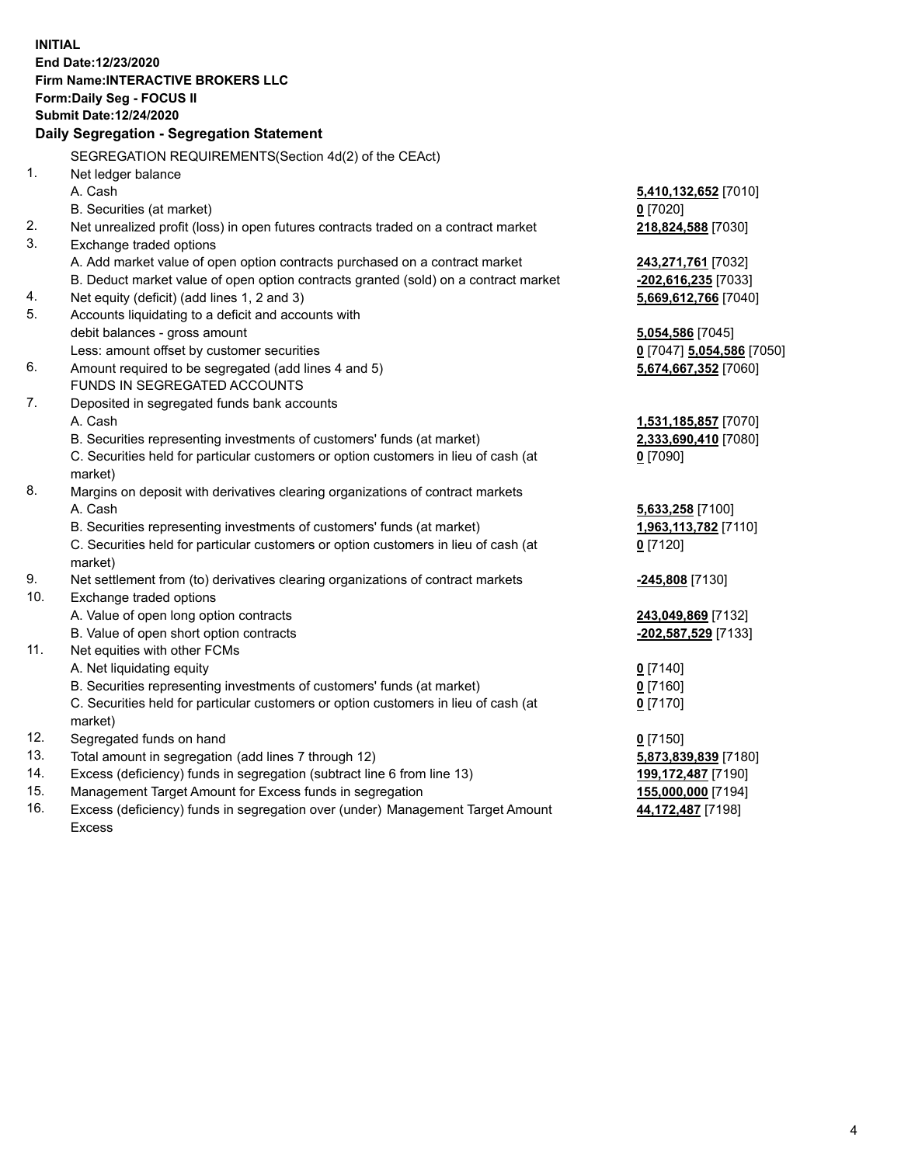**INITIAL End Date:12/23/2020 Firm Name:INTERACTIVE BROKERS LLC Form:Daily Seg - FOCUS II Submit Date:12/24/2020 Daily Segregation - Segregation Statement** SEGREGATION REQUIREMENTS(Section 4d(2) of the CEAct) 1. Net ledger balance A. Cash **5,410,132,652** [7010] B. Securities (at market) **0** [7020] 2. Net unrealized profit (loss) in open futures contracts traded on a contract market **218,824,588** [7030] 3. Exchange traded options A. Add market value of open option contracts purchased on a contract market **243,271,761** [7032] B. Deduct market value of open option contracts granted (sold) on a contract market **-202,616,235** [7033] 4. Net equity (deficit) (add lines 1, 2 and 3) **5,669,612,766** [7040] 5. Accounts liquidating to a deficit and accounts with debit balances - gross amount **5,054,586** [7045] Less: amount offset by customer securities **0** [7047] **5,054,586** [7050] 6. Amount required to be segregated (add lines 4 and 5) **5,674,667,352** [7060] FUNDS IN SEGREGATED ACCOUNTS 7. Deposited in segregated funds bank accounts A. Cash **1,531,185,857** [7070] B. Securities representing investments of customers' funds (at market) **2,333,690,410** [7080] C. Securities held for particular customers or option customers in lieu of cash (at market) **0** [7090] 8. Margins on deposit with derivatives clearing organizations of contract markets A. Cash **5,633,258** [7100] B. Securities representing investments of customers' funds (at market) **1,963,113,782** [7110] C. Securities held for particular customers or option customers in lieu of cash (at market) **0** [7120] 9. Net settlement from (to) derivatives clearing organizations of contract markets **-245,808** [7130] 10. Exchange traded options A. Value of open long option contracts **243,049,869** [7132] B. Value of open short option contracts **-202,587,529** [7133] 11. Net equities with other FCMs A. Net liquidating equity **0** [7140] B. Securities representing investments of customers' funds (at market) **0** [7160] C. Securities held for particular customers or option customers in lieu of cash (at market) **0** [7170] 12. Segregated funds on hand **0** [7150] 13. Total amount in segregation (add lines 7 through 12) **5,873,839,839** [7180] 14. Excess (deficiency) funds in segregation (subtract line 6 from line 13) **199,172,487** [7190] 15. Management Target Amount for Excess funds in segregation **155,000,000** [7194] 16. Excess (deficiency) funds in segregation over (under) Management Target Amount **44,172,487** [7198]

Excess